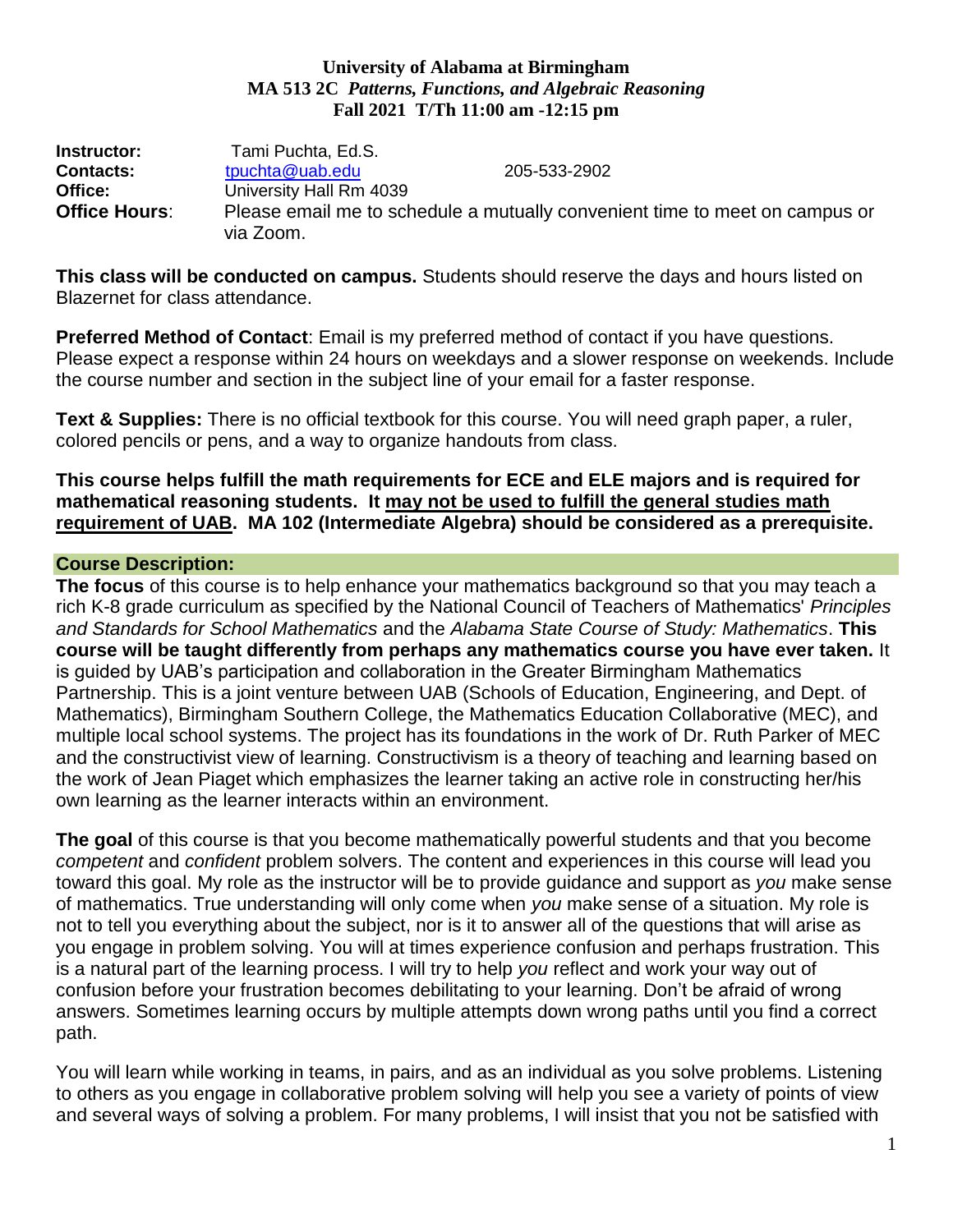### **University of Alabama at Birmingham MA 513 2C** *Patterns, Functions, and Algebraic Reasoning* **Fall 2021 T/Th 11:00 am -12:15 pm**

**Instructor:** Tami Puchta, Ed.S. **Contacts: the three top contacts: the three top contacts: contacts: contacts: the top contacts: contacts: contacts: contacts: contacts: contacts: contacts: contacts: contacts: contacts: conta Office:** University Hall Rm 4039 **Office Hours**: Please email me to schedule a mutually convenient time to meet on campus or via Zoom.

**This class will be conducted on campus.** Students should reserve the days and hours listed on Blazernet for class attendance.

**Preferred Method of Contact**: Email is my preferred method of contact if you have questions. Please expect a response within 24 hours on weekdays and a slower response on weekends. Include the course number and section in the subject line of your email for a faster response.

**Text & Supplies:** There is no official textbook for this course. You will need graph paper, a ruler, colored pencils or pens, and a way to organize handouts from class.

## **This course helps fulfill the math requirements for ECE and ELE majors and is required for mathematical reasoning students. It may not be used to fulfill the general studies math requirement of UAB. MA 102 (Intermediate Algebra) should be considered as a prerequisite.**

# **Course Description:**

**The focus** of this course is to help enhance your mathematics background so that you may teach a rich K-8 grade curriculum as specified by the National Council of Teachers of Mathematics' *Principles and Standards for School Mathematics* and the *Alabama State Course of Study: Mathematics*. **This course will be taught differently from perhaps any mathematics course you have ever taken.** It is guided by UAB's participation and collaboration in the Greater Birmingham Mathematics Partnership. This is a joint venture between UAB (Schools of Education, Engineering, and Dept. of Mathematics), Birmingham Southern College, the Mathematics Education Collaborative (MEC), and multiple local school systems. The project has its foundations in the work of Dr. Ruth Parker of MEC and the constructivist view of learning. Constructivism is a theory of teaching and learning based on the work of Jean Piaget which emphasizes the learner taking an active role in constructing her/his own learning as the learner interacts within an environment.

**The goal** of this course is that you become mathematically powerful students and that you become *competent* and *confident* problem solvers. The content and experiences in this course will lead you toward this goal. My role as the instructor will be to provide guidance and support as *you* make sense of mathematics. True understanding will only come when *you* make sense of a situation. My role is not to tell you everything about the subject, nor is it to answer all of the questions that will arise as you engage in problem solving. You will at times experience confusion and perhaps frustration. This is a natural part of the learning process. I will try to help *you* reflect and work your way out of confusion before your frustration becomes debilitating to your learning. Don't be afraid of wrong answers. Sometimes learning occurs by multiple attempts down wrong paths until you find a correct path.

You will learn while working in teams, in pairs, and as an individual as you solve problems. Listening to others as you engage in collaborative problem solving will help you see a variety of points of view and several ways of solving a problem. For many problems, I will insist that you not be satisfied with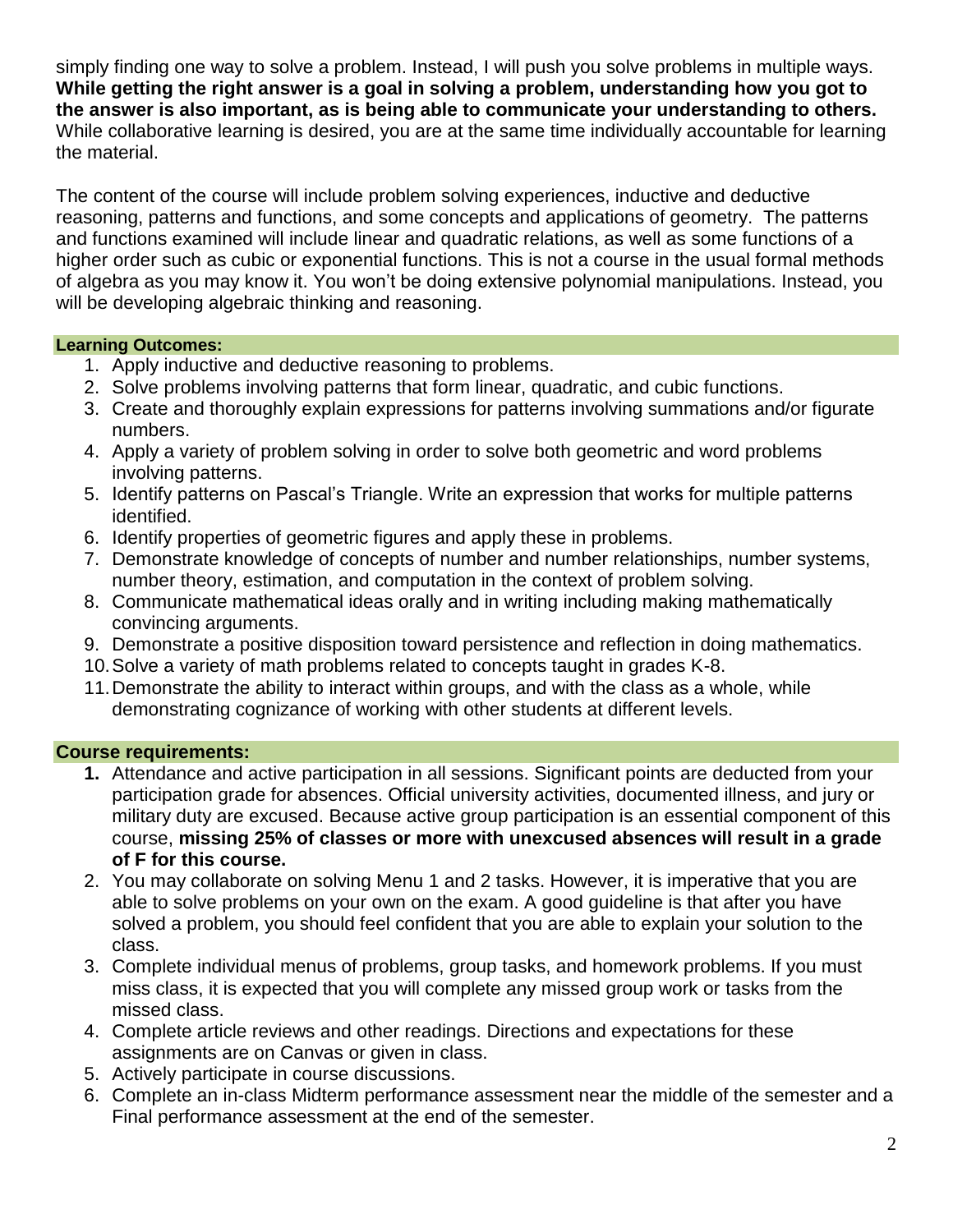simply finding one way to solve a problem. Instead, I will push you solve problems in multiple ways. **While getting the right answer is a goal in solving a problem, understanding how you got to the answer is also important, as is being able to communicate your understanding to others.** While collaborative learning is desired, you are at the same time individually accountable for learning the material.

The content of the course will include problem solving experiences, inductive and deductive reasoning, patterns and functions, and some concepts and applications of geometry. The patterns and functions examined will include linear and quadratic relations, as well as some functions of a higher order such as cubic or exponential functions. This is not a course in the usual formal methods of algebra as you may know it. You won't be doing extensive polynomial manipulations. Instead, you will be developing algebraic thinking and reasoning.

## **Learning Outcomes:**

- 1. Apply inductive and deductive reasoning to problems.
- 2. Solve problems involving patterns that form linear, quadratic, and cubic functions.
- 3. Create and thoroughly explain expressions for patterns involving summations and/or figurate numbers.
- 4. Apply a variety of problem solving in order to solve both geometric and word problems involving patterns.
- 5. Identify patterns on Pascal's Triangle. Write an expression that works for multiple patterns identified.
- 6. Identify properties of geometric figures and apply these in problems.
- 7. Demonstrate knowledge of concepts of number and number relationships, number systems, number theory, estimation, and computation in the context of problem solving.
- 8. Communicate mathematical ideas orally and in writing including making mathematically convincing arguments.
- 9. Demonstrate a positive disposition toward persistence and reflection in doing mathematics.
- 10.Solve a variety of math problems related to concepts taught in grades K-8.
- 11.Demonstrate the ability to interact within groups, and with the class as a whole, while demonstrating cognizance of working with other students at different levels.

## **Course requirements:**

- **1.** Attendance and active participation in all sessions. Significant points are deducted from your participation grade for absences. Official university activities, documented illness, and jury or military duty are excused. Because active group participation is an essential component of this course, **missing 25% of classes or more with unexcused absences will result in a grade of F for this course.**
- 2. You may collaborate on solving Menu 1 and 2 tasks. However, it is imperative that you are able to solve problems on your own on the exam. A good guideline is that after you have solved a problem, you should feel confident that you are able to explain your solution to the class.
- 3. Complete individual menus of problems, group tasks, and homework problems. If you must miss class, it is expected that you will complete any missed group work or tasks from the missed class.
- 4. Complete article reviews and other readings. Directions and expectations for these assignments are on Canvas or given in class.
- 5. Actively participate in course discussions.
- 6. Complete an in-class Midterm performance assessment near the middle of the semester and a Final performance assessment at the end of the semester.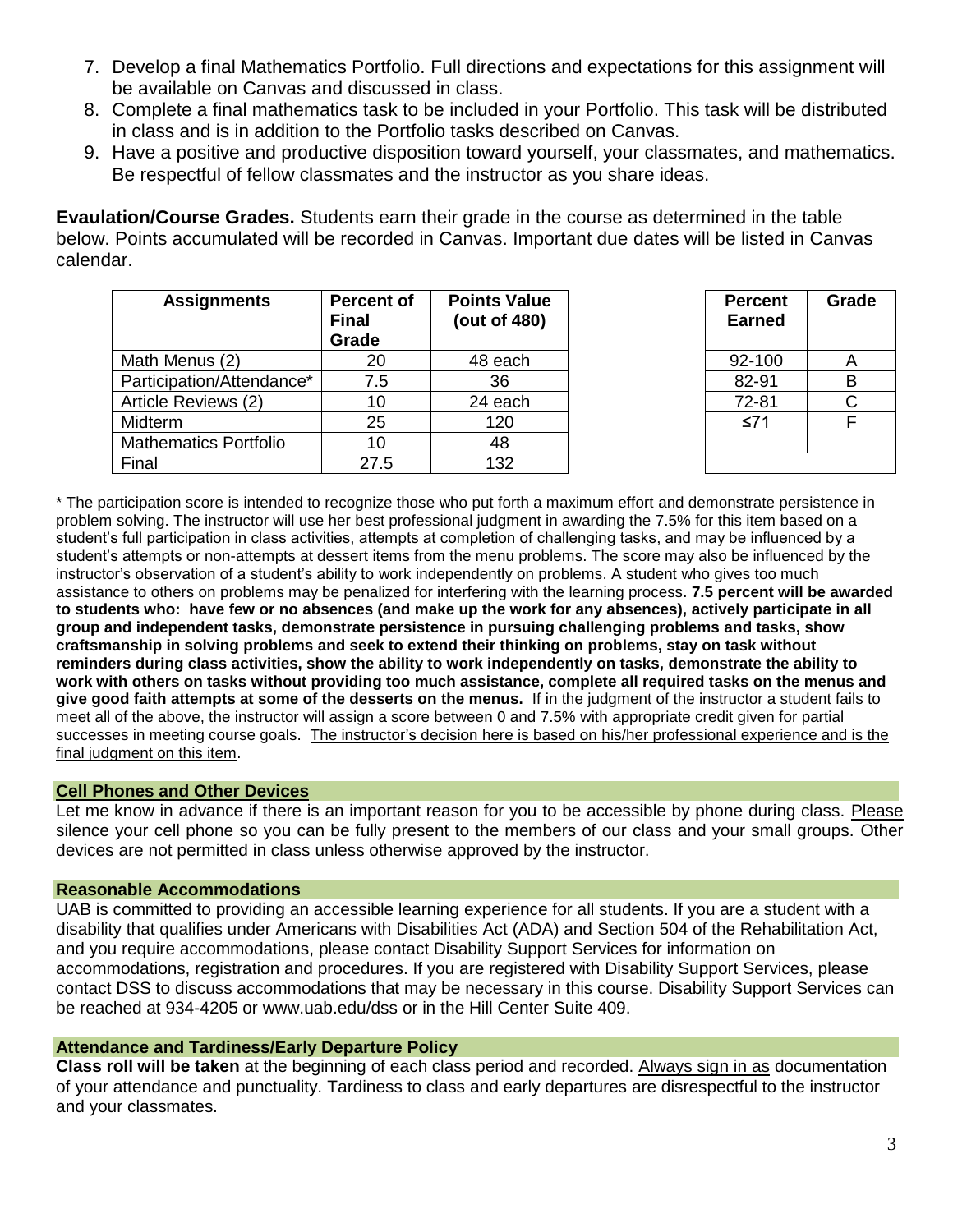- 7. Develop a final Mathematics Portfolio. Full directions and expectations for this assignment will be available on Canvas and discussed in class.
- 8. Complete a final mathematics task to be included in your Portfolio. This task will be distributed in class and is in addition to the Portfolio tasks described on Canvas.
- 9. Have a positive and productive disposition toward yourself, your classmates, and mathematics. Be respectful of fellow classmates and the instructor as you share ideas.

**Evaulation/Course Grades.** Students earn their grade in the course as determined in the table below. Points accumulated will be recorded in Canvas. Important due dates will be listed in Canvas calendar.

| <b>Assignments</b>           | <b>Percent of</b><br><b>Final</b><br>Grade | <b>Points Value</b><br>(out of 480) | <b>Percent</b><br><b>Earned</b> | Gra |
|------------------------------|--------------------------------------------|-------------------------------------|---------------------------------|-----|
| Math Menus (2)               | 20                                         | 48 each                             | 92-100                          | A   |
| Participation/Attendance*    | 7.5                                        | 36                                  | 82-91                           | B   |
| Article Reviews (2)          | 10                                         | 24 each                             | 72-81                           | C   |
| Midterm                      | 25                                         | 120                                 | ≤71                             | F   |
| <b>Mathematics Portfolio</b> | 10                                         | 48                                  |                                 |     |
| Final                        | 27.5                                       | 132                                 |                                 |     |

| <b>Percent</b><br><b>Earned</b> | Grade |
|---------------------------------|-------|
| 92-100                          | A     |
| 82-91                           | B     |
| 72-81                           | Ć     |
| ≤71                             | F     |
|                                 |       |

\* The participation score is intended to recognize those who put forth a maximum effort and demonstrate persistence in problem solving. The instructor will use her best professional judgment in awarding the 7.5% for this item based on a student's full participation in class activities, attempts at completion of challenging tasks, and may be influenced by a student's attempts or non-attempts at dessert items from the menu problems. The score may also be influenced by the instructor's observation of a student's ability to work independently on problems. A student who gives too much assistance to others on problems may be penalized for interfering with the learning process. **7.5 percent will be awarded to students who: have few or no absences (and make up the work for any absences), actively participate in all group and independent tasks, demonstrate persistence in pursuing challenging problems and tasks, show craftsmanship in solving problems and seek to extend their thinking on problems, stay on task without reminders during class activities, show the ability to work independently on tasks, demonstrate the ability to work with others on tasks without providing too much assistance, complete all required tasks on the menus and give good faith attempts at some of the desserts on the menus.** If in the judgment of the instructor a student fails to meet all of the above, the instructor will assign a score between 0 and 7.5% with appropriate credit given for partial successes in meeting course goals. The instructor's decision here is based on his/her professional experience and is the final judgment on this item.

### **Cell Phones and Other Devices**

Let me know in advance if there is an important reason for you to be accessible by phone during class. Please silence your cell phone so you can be fully present to the members of our class and your small groups. Other devices are not permitted in class unless otherwise approved by the instructor.

### **Reasonable Accommodations**

UAB is committed to providing an accessible learning experience for all students. If you are a student with a disability that qualifies under Americans with Disabilities Act (ADA) and Section 504 of the Rehabilitation Act, and you require accommodations, please contact Disability Support Services for information on accommodations, registration and procedures. If you are registered with Disability Support Services, please contact DSS to discuss accommodations that may be necessary in this course. Disability Support Services can be reached at 934-4205 or www.uab.edu/dss or in the Hill Center Suite 409.

### **Attendance and Tardiness/Early Departure Policy**

**Class roll will be taken** at the beginning of each class period and recorded. Always sign in as documentation of your attendance and punctuality. Tardiness to class and early departures are disrespectful to the instructor and your classmates.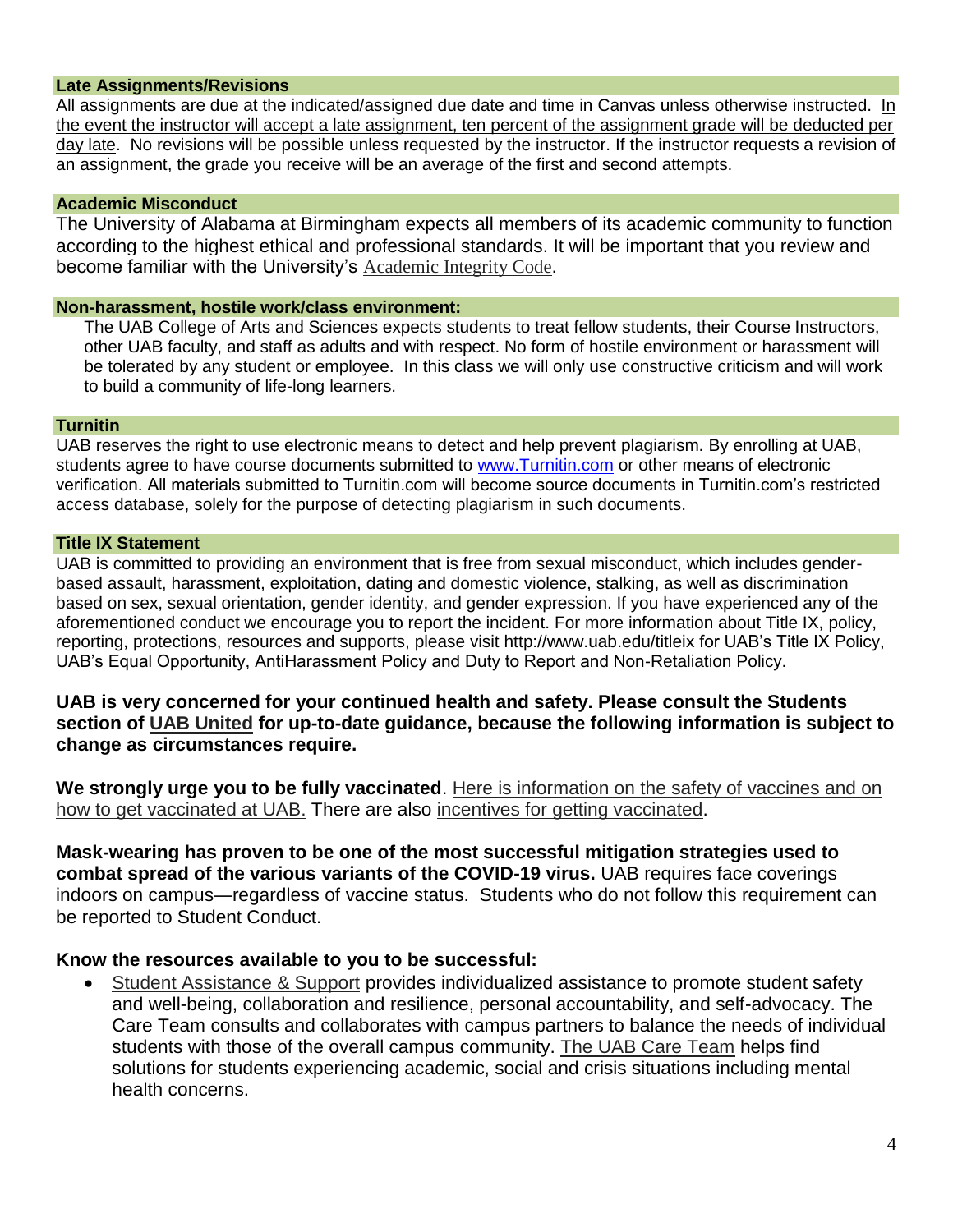#### **Late Assignments/Revisions**

All assignments are due at the indicated/assigned due date and time in Canvas unless otherwise instructed. In the event the instructor will accept a late assignment, ten percent of the assignment grade will be deducted per day late. No revisions will be possible unless requested by the instructor. If the instructor requests a revision of an assignment, the grade you receive will be an average of the first and second attempts.

#### **Academic Misconduct**

The University of Alabama at Birmingham expects all members of its academic community to function according to the highest ethical and professional standards. It will be important that you review and become familiar with the University's [Academic Integrity Code](https://www.uab.edu/compliance/images/FINAL_Academic_Integrity_Code__2021-June-22.pdf).

#### **Non-harassment, hostile work/class environment:**

The UAB College of Arts and Sciences expects students to treat fellow students, their Course Instructors, other UAB faculty, and staff as adults and with respect. No form of hostile environment or harassment will be tolerated by any student or employee. In this class we will only use constructive criticism and will work to build a community of life-long learners.

#### **Turnitin**

UAB reserves the right to use electronic means to detect and help prevent plagiarism. By enrolling at UAB, students agree to have course documents submitted to [www.Turnitin.com](http://www.turnitin.com/) or other means of electronic verification. All materials submitted to Turnitin.com will become source documents in Turnitin.com's restricted access database, solely for the purpose of detecting plagiarism in such documents.

#### **Title IX Statement**

UAB is committed to providing an environment that is free from sexual misconduct, which includes genderbased assault, harassment, exploitation, dating and domestic violence, stalking, as well as discrimination based on sex, sexual orientation, gender identity, and gender expression. If you have experienced any of the aforementioned conduct we encourage you to report the incident. For more information about Title IX, policy, reporting, protections, resources and supports, please visit http://www.uab.edu/titleix for UAB's Title IX Policy, UAB's Equal Opportunity, AntiHarassment Policy and Duty to Report and Non-Retaliation Policy.

**UAB is very concerned for your continued health and safety. Please consult the Students section of [UAB United](https://www.uab.edu/uabunited/) for up-to-date guidance, because the following information is subject to change as circumstances require.**

**We strongly urge you to be fully vaccinated**. [Here is information on the safety of vaccines and on](https://www.uab.edu/uabunited/covid-19-vaccine)  [how to get vaccinated at UAB.](https://www.uab.edu/uabunited/covid-19-vaccine) There are also [incentives for getting vaccinated.](https://www.uab.edu/students/health/)

**Mask-wearing has proven to be one of the most successful mitigation strategies used to combat spread of the various variants of the COVID-19 virus.** UAB requires face coverings indoors on campus—regardless of vaccine status. Students who do not follow this requirement can be reported to Student Conduct.

### **Know the resources available to you to be successful:**

 [Student Assistance & Support](https://www.uab.edu/students/assistance/about) provides individualized assistance to promote student safety and well-being, collaboration and resilience, personal accountability, and self-advocacy. The Care Team consults and collaborates with campus partners to balance the needs of individual students with those of the overall campus community. [The UAB Care Team](https://www.uab.edu/careteam/) helps find solutions for students experiencing academic, social and crisis situations including mental health concerns.